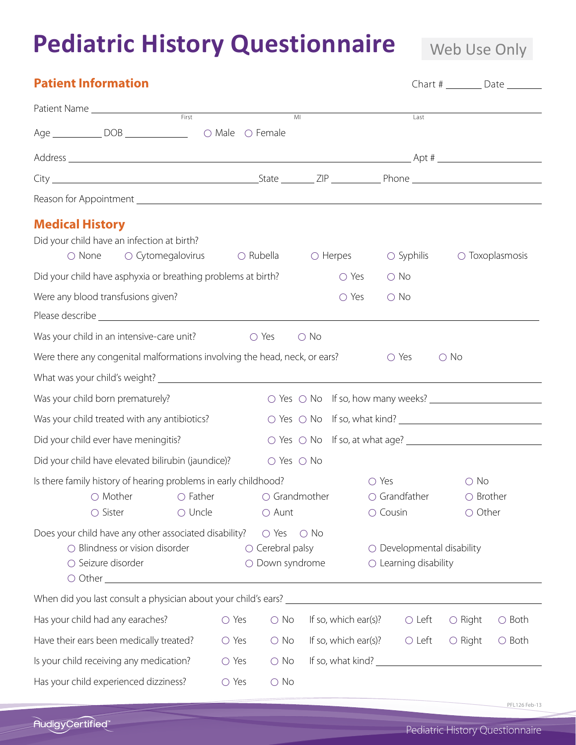## **Pediatric History Questionnaire**

Web Use Only

| <b>Patient Information</b>                                                                                                                          |                                           |                              |                                                                          |                                                                       |                                   | Chart # $\rule{1em}{0.15mm}$ Date $\rule{1.15mm}{0.15mm}$ |
|-----------------------------------------------------------------------------------------------------------------------------------------------------|-------------------------------------------|------------------------------|--------------------------------------------------------------------------|-----------------------------------------------------------------------|-----------------------------------|-----------------------------------------------------------|
| Patient Name                                                                                                                                        |                                           | M <sub>l</sub>               |                                                                          | Last                                                                  |                                   |                                                           |
| Age _______________ DOB ________________                                                                                                            | ○ Male ○ Female                           |                              |                                                                          |                                                                       |                                   |                                                           |
|                                                                                                                                                     |                                           |                              |                                                                          |                                                                       |                                   |                                                           |
|                                                                                                                                                     |                                           |                              |                                                                          |                                                                       |                                   |                                                           |
|                                                                                                                                                     |                                           |                              |                                                                          |                                                                       |                                   |                                                           |
| <b>Medical History</b><br>Did your child have an infection at birth?<br>○ Cytomegalovirus<br>○ None                                                 | $\bigcirc$ Rubella                        |                              | $\bigcirc$ Herpes                                                        | $\bigcirc$ Syphilis                                                   |                                   | $\circ$ Toxoplasmosis                                     |
| Did your child have asphyxia or breathing problems at birth?                                                                                        |                                           |                              | $\bigcirc$ Yes                                                           | $\bigcirc$ No                                                         |                                   |                                                           |
| Were any blood transfusions given?                                                                                                                  |                                           |                              | O Yes                                                                    | $\bigcirc$ No                                                         |                                   |                                                           |
| Was your child in an intensive-care unit?                                                                                                           | O Yes                                     | $\bigcirc$ No                |                                                                          |                                                                       |                                   |                                                           |
| Were there any congenital malformations involving the head, neck, or ears?                                                                          |                                           |                              |                                                                          | $\circ$ Yes                                                           | $\bigcirc$ No                     |                                                           |
|                                                                                                                                                     |                                           |                              |                                                                          |                                                                       |                                   |                                                           |
| Was your child born prematurely?                                                                                                                    |                                           |                              | ○ Yes ○ No If so, how many weeks? <u>_______________________________</u> |                                                                       |                                   |                                                           |
| Was your child treated with any antibiotics?                                                                                                        |                                           |                              |                                                                          |                                                                       |                                   |                                                           |
| Did your child ever have meningitis?                                                                                                                |                                           |                              |                                                                          |                                                                       |                                   |                                                           |
| Did your child have elevated bilirubin (jaundice)?                                                                                                  |                                           | $\bigcirc$ Yes $\bigcirc$ No |                                                                          |                                                                       |                                   |                                                           |
| Is there family history of hearing problems in early childhood?<br>$\bigcirc$ Uncle<br>$\bigcirc$ Sister                                            | $\bigcirc$ Aunt                           |                              | ○ Yes                                                                    | $\circ$ Cousin                                                        | $\bigcirc$ No<br>$\bigcirc$ Other |                                                           |
| Does your child have any other associated disability? $\bigcirc$ Yes $\bigcirc$ No<br>$\bigcirc$ Blindness or vision disorder<br>○ Seizure disorder | $\circ$ Cerebral palsy<br>O Down syndrome |                              |                                                                          | $\bigcirc$ Developmental disability<br>$\bigcirc$ Learning disability |                                   |                                                           |
|                                                                                                                                                     |                                           |                              |                                                                          |                                                                       |                                   |                                                           |
| Has your child had any earaches?                                                                                                                    | O Yes<br>$\bigcirc$ No                    |                              | If so, which ear(s)?                                                     | $\circ$ Left                                                          | $\bigcirc$ Right                  | $\bigcirc$ Both                                           |
| Have their ears been medically treated?                                                                                                             | $\bigcirc$ Yes<br>$\bigcirc$ No           |                              | If so, which ear(s)?                                                     | $\circ$ Left                                                          | $\bigcirc$ Right                  | $\bigcirc$ Both                                           |
| Is your child receiving any medication?                                                                                                             | O Yes<br>$\bigcirc$ No                    |                              |                                                                          |                                                                       |                                   |                                                           |
| Has your child experienced dizziness?                                                                                                               | ○ Yes<br>$\bigcirc$ No                    |                              |                                                                          |                                                                       |                                   |                                                           |

PFL126 Feb-13